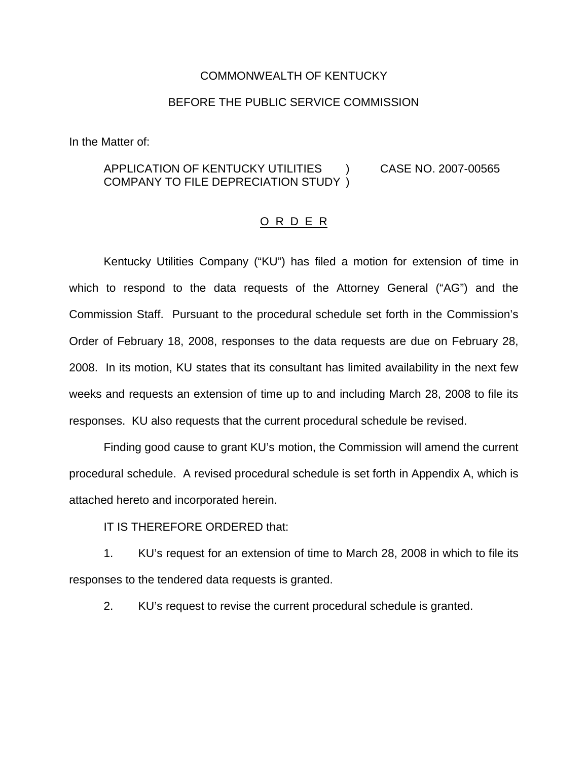#### COMMONWEALTH OF KENTUCKY

### BEFORE THE PUBLIC SERVICE COMMISSION

In the Matter of:

### APPLICATION OF KENTUCKY UTILITIES ) CASE NO. 2007-00565 COMPANY TO FILE DEPRECIATION STUDY )

#### O R D E R

Kentucky Utilities Company ("KU") has filed a motion for extension of time in which to respond to the data requests of the Attorney General ("AG") and the Commission Staff. Pursuant to the procedural schedule set forth in the Commission's Order of February 18, 2008, responses to the data requests are due on February 28, 2008. In its motion, KU states that its consultant has limited availability in the next few weeks and requests an extension of time up to and including March 28, 2008 to file its responses. KU also requests that the current procedural schedule be revised.

Finding good cause to grant KU's motion, the Commission will amend the current procedural schedule. A revised procedural schedule is set forth in Appendix A, which is attached hereto and incorporated herein.

IT IS THEREFORE ORDERED that:

1. KU's request for an extension of time to March 28, 2008 in which to file its responses to the tendered data requests is granted.

2. KU's request to revise the current procedural schedule is granted.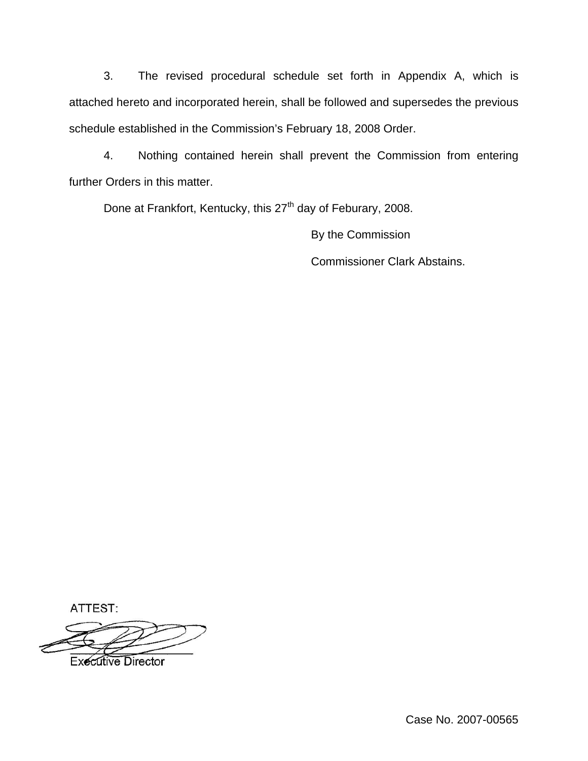3. The revised procedural schedule set forth in Appendix A, which is attached hereto and incorporated herein, shall be followed and supersedes the previous schedule established in the Commission's February 18, 2008 Order.

4. Nothing contained herein shall prevent the Commission from entering further Orders in this matter.

Done at Frankfort, Kentucky, this 27<sup>th</sup> day of Feburary, 2008.

By the Commission Commissioner Clark Abstains.

ATTEST:

**Executive Director** 

Case No. 2007-00565